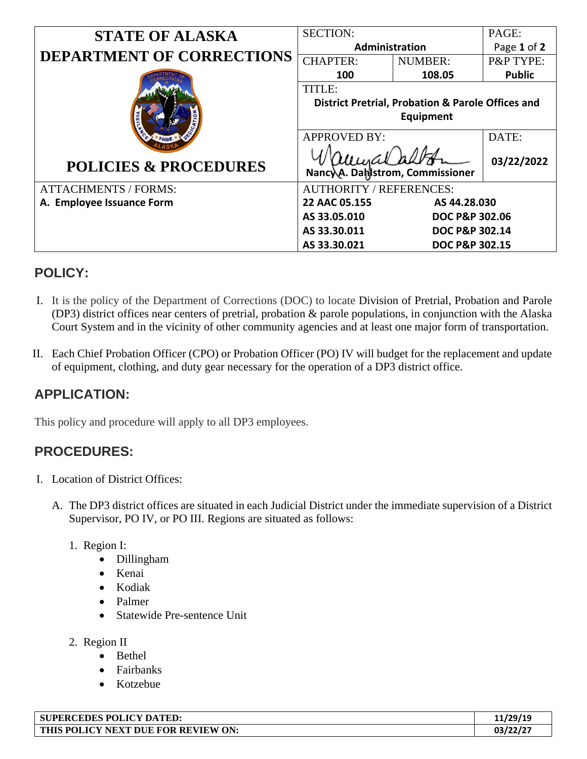| <b>STATE OF ALASKA</b>           | <b>SECTION:</b>                                              |                           | PAGE:         |
|----------------------------------|--------------------------------------------------------------|---------------------------|---------------|
|                                  | <b>Administration</b>                                        |                           | Page 1 of 2   |
| <b>DEPARTMENT OF CORRECTIONS</b> | <b>CHAPTER:</b>                                              | <b>NUMBER:</b>            | P&P TYPE:     |
|                                  | 100                                                          | 108.05                    | <b>Public</b> |
|                                  | TITLE:                                                       |                           |               |
|                                  | <b>District Pretrial, Probation &amp; Parole Offices and</b> |                           |               |
|                                  | Equipment                                                    |                           |               |
|                                  | <b>APPROVED BY:</b>                                          |                           | DATE:         |
| <b>POLICIES &amp; PROCEDURES</b> | Nancy A. Damsstrom, Commissioner                             | 03/22/2022                |               |
| <b>ATTACHMENTS / FORMS:</b>      | <b>AUTHORITY / REFERENCES:</b>                               |                           |               |
| A. Employee Issuance Form        | 22 AAC 05.155<br>AS 44.28.030                                |                           |               |
|                                  | AS 33.05.010                                                 | <b>DOC P&amp;P 302.06</b> |               |
|                                  | AS 33.30.011                                                 | DOC P&P 302.14            |               |
|                                  | AS 33.30.021                                                 | DOC P&P 302.15            |               |

## **POLICY:**

- I. It is the policy of the Department of Corrections (DOC) to locate Division of Pretrial, Probation and Parole (DP3) district offices near centers of pretrial, probation & parole populations, in conjunction with the Alaska Court System and in the vicinity of other community agencies and at least one major form of transportation.
- II. Each Chief Probation Officer (CPO) or Probation Officer (PO) IV will budget for the replacement and update of equipment, clothing, and duty gear necessary for the operation of a DP3 district office.

## **APPLICATION:**

This policy and procedure will apply to all DP3 employees.

## **PROCEDURES:**

- I. Location of District Offices:
	- A. The DP3 district offices are situated in each Judicial District under the immediate supervision of a District Supervisor, PO IV, or PO III. Regions are situated as follows:
		- 1. Region I:
			- Dillingham
			- Kenai
			- Kodiak
			- Palmer
			- Statewide Pre-sentence Unit
		- 2. Region II
			- Bethel
			- Fairbanks
			- Kotzebue

| <b>SUPERCEDES POLICY DATED:</b>     | 11/29/19 |
|-------------------------------------|----------|
| THIS POLICY NEXT DUE FOR REVIEW ON: | 03/22/2  |